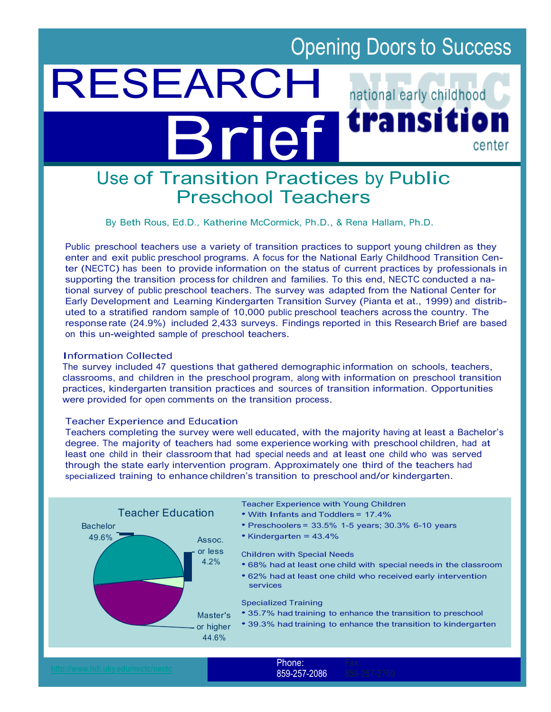# Opening Doors to Success

# RESEARCH national early childhood transitio Brief center

# Use of Transition Practices by Public Preschool Teachers

By Beth Rous, Ed.D., Katherine McCormick, Ph.D., & Rena Hallam, Ph.D.

Public preschool teachers use a variety of transition practices to support young children as they enter and exit public preschool programs. A focus for the National Early Childhood Transition Center (NECTC) has been to provide information on the status of current practices by professionals in supporting the transition process for children and families. To this end, NECTC conducted a national survey of public preschool teachers. The survey was adapted from the National Center for Early Development and Learning Kindergarten Transition Survey (Pianta et at., 1999) and distributed to a stratified random sample of 10,000 public preschool teachers across the country. The response rate (24.9%) included 2,433 surveys. Findings reported in this Research Brief are based on this un-weighted sample of preschool teachers.

#### Information Collected

The survey included 47 questions that gathered demographic information on schools, teachers, classrooms, and children in the preschool program, along with information on preschool transition practices, kindergarten transition practices and sources of transition information. Opportunities were provided for open comments on the transition process.

## Teacher Experience and Education

Teachers completing the survey were well educated, with the majority having at least a Bachelor's degree. The majority of teachers had some experience working with preschool children, had at least one child in their classroom that had special needs and at least one child who was served through the state early intervention program. Approximately one third of the teachers had specialized training to enhance children's transition to preschool and/or kindergarten.



859-257-2086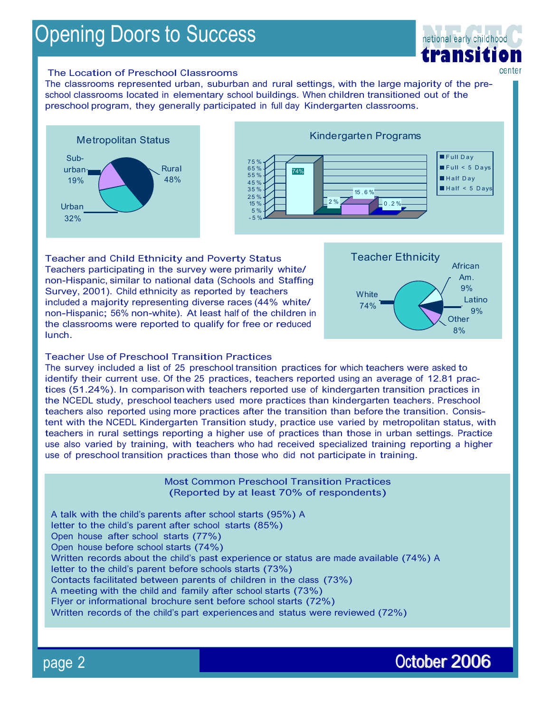# Opening Doors to Success



#### The Location of Preschool Classrooms

The classrooms represented urban, suburban and rural settings, with the large majority of the preschool classrooms located in elementary school buildings. When children transitioned out of the preschool program, they generally participated in full day Kindergarten classrooms.



Teacher and Child Ethnicity and Poverty Status Teachers participating in the survey were primarily white/ non-Hispanic, similar to national data (Schools and Staffing Survey, 2001). Child ethnicity as reported by teachers included a majority representing diverse races (44% white/ non-Hispanic; 56% non-white). At least half of the children in the classrooms were reported to qualify for free or reduced lunch.



## Teacher Use of Preschool Transition Practices

The survey included a list of 25 preschool transition practices for which teachers were asked to identify their current use. Of the 25 practices, teachers reported using an average of 12.81 practices (51.24%). In comparison with teachers reported use of kindergarten transition practices in the NCEDL study, preschool teachers used more practices than kindergarten teachers. Preschool teachers also reported using more practices after the transition than before the transition. Consistent with the NCEDL Kindergarten Transition study, practice use varied by metropolitan status, with teachers in rural settings reporting a higher use of practices than those in urban settings. Practice use also varied by training, with teachers who had received specialized training reporting a higher use of preschool transition practices than those who did not participate in training.

> Most Common Preschool Transition Practices (Reported by at least 70% of respondents)

A talk with the child's parents after school starts (95%) A letter to the child's parent after school starts (85%) Open house after school starts (77%) Open house before school starts (74%) Written records about the child's past experience or status are made available (74%) A letter to the child's parent before schools starts (73%) Contacts facilitated between parents of children in the class (73%) A meeting with the child and family after school starts (73%) Flyer or informational brochure sent before school starts (72%) Written records of the child's part experiences and status were reviewed (72%)